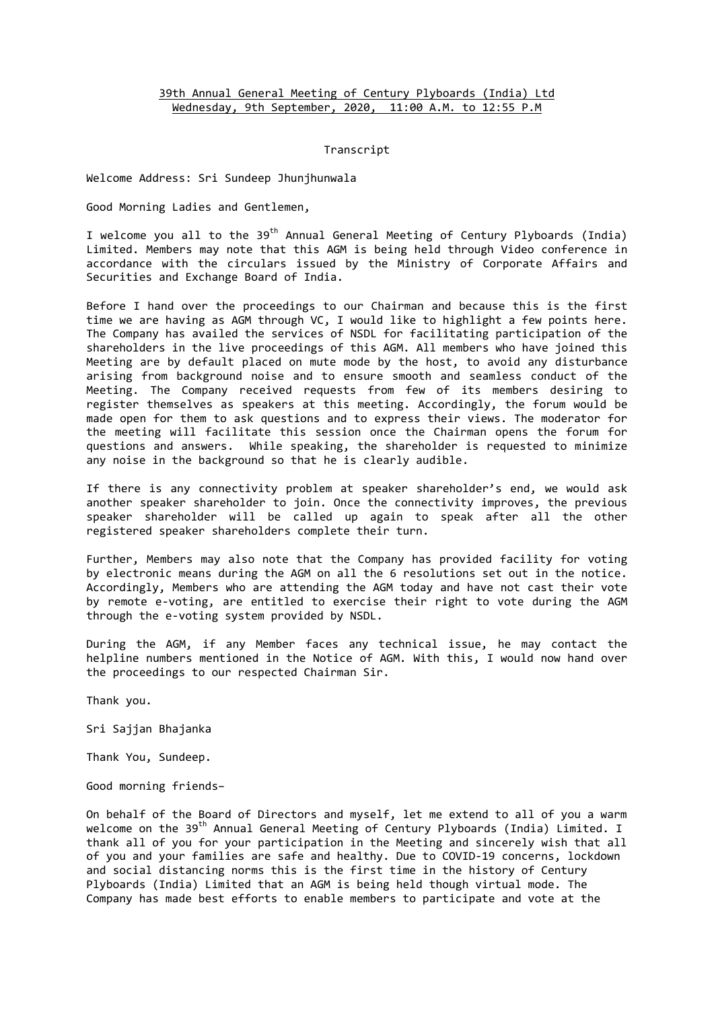# 39th Annual General Meeting of Century Plyboards (India) Ltd Wednesday, 9th September, 2020, 11:00 A.M. to 12:55 P.M

Transcript

Welcome Address: Sri Sundeep Jhunjhunwala

Good Morning Ladies and Gentlemen,

I welcome you all to the 39<sup>th</sup> Annual General Meeting of Century Plyboards (India) Limited. Members may note that this AGM is being held through Video conference in accordance with the circulars issued by the Ministry of Corporate Affairs and Securities and Exchange Board of India.

Before I hand over the proceedings to our Chairman and because this is the first time we are having as AGM through VC, I would like to highlight a few points here. The Company has availed the services of NSDL for facilitating participation of the shareholders in the live proceedings of this AGM. All members who have joined this Meeting are by default placed on mute mode by the host, to avoid any disturbance arising from background noise and to ensure smooth and seamless conduct of the Meeting. The Company received requests from few of its members desiring to register themselves as speakers at this meeting. Accordingly, the forum would be made open for them to ask questions and to express their views. The moderator for the meeting will facilitate this session once the Chairman opens the forum for questions and answers. While speaking, the shareholder is requested to minimize any noise in the background so that he is clearly audible.

If there is any connectivity problem at speaker shareholder's end, we would ask another speaker shareholder to join. Once the connectivity improves, the previous speaker shareholder will be called up again to speak after all the other registered speaker shareholders complete their turn.

Further, Members may also note that the Company has provided facility for voting by electronic means during the AGM on all the 6 resolutions set out in the notice. Accordingly, Members who are attending the AGM today and have not cast their vote by remote e‐voting, are entitled to exercise their right to vote during the AGM through the e-voting system provided by NSDL.

During the AGM, if any Member faces any technical issue, he may contact the helpline numbers mentioned in the Notice of AGM. With this, I would now hand over the proceedings to our respected Chairman Sir.

Thank you.

Sri Sajjan Bhajanka

Thank You, Sundeep.

Good morning friends–

On behalf of the Board of Directors and myself, let me extend to all of you a warm welcome on the 39<sup>th</sup> Annual General Meeting of Century Plyboards (India) Limited. I thank all of you for your participation in the Meeting and sincerely wish that all of you and your families are safe and healthy. Due to COVID-19 concerns, lockdown and social distancing norms this is the first time in the history of Century Plyboards (India) Limited that an AGM is being held though virtual mode. The Company has made best efforts to enable members to participate and vote at the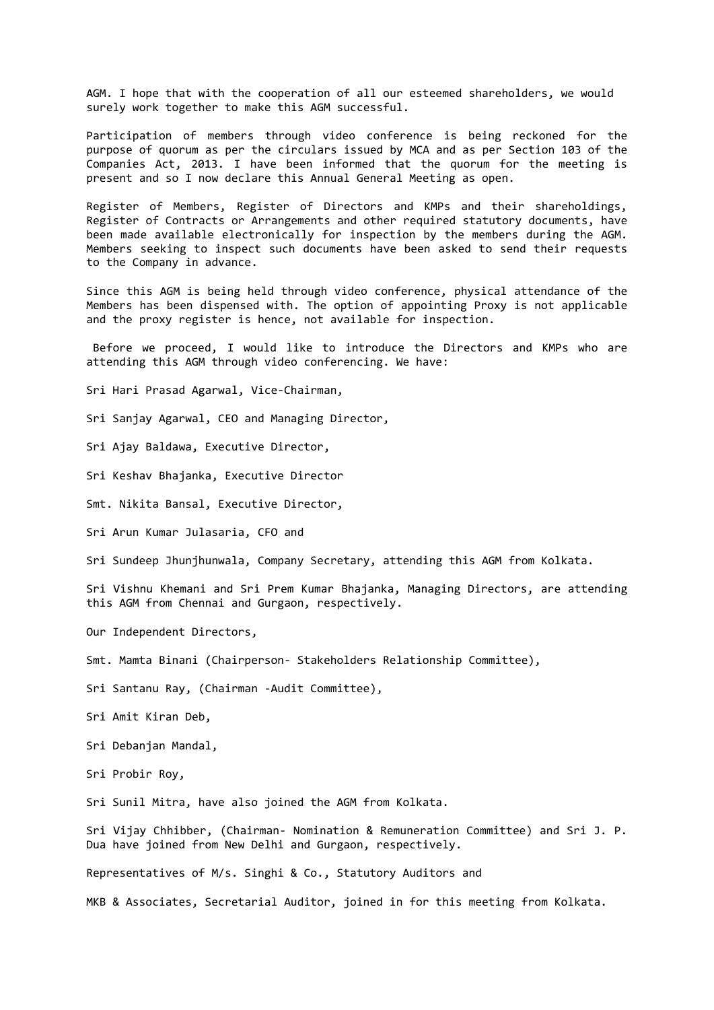AGM. I hope that with the cooperation of all our esteemed shareholders, we would surely work together to make this AGM successful.

Participation of members through video conference is being reckoned for the purpose of quorum as per the circulars issued by MCA and as per Section 103 of the Companies Act, 2013. I have been informed that the quorum for the meeting is present and so I now declare this Annual General Meeting as open.

Register of Members, Register of Directors and KMPs and their shareholdings, Register of Contracts or Arrangements and other required statutory documents, have been made available electronically for inspection by the members during the AGM. Members seeking to inspect such documents have been asked to send their requests to the Company in advance.

Since this AGM is being held through video conference, physical attendance of the Members has been dispensed with. The option of appointing Proxy is not applicable and the proxy register is hence, not available for inspection.

Before we proceed, I would like to introduce the Directors and KMPs who are attending this AGM through video conferencing. We have:

Sri Hari Prasad Agarwal, Vice-Chairman,

Sri Sanjay Agarwal, CEO and Managing Director,

Sri Ajay Baldawa, Executive Director,

Sri Keshav Bhajanka, Executive Director

Smt. Nikita Bansal, Executive Director,

Sri Arun Kumar Julasaria, CFO and

Sri Sundeep Jhunjhunwala, Company Secretary, attending this AGM from Kolkata.

Sri Vishnu Khemani and Sri Prem Kumar Bhajanka, Managing Directors, are attending this AGM from Chennai and Gurgaon, respectively.

Our Independent Directors,

Smt. Mamta Binani (Chairperson- Stakeholders Relationship Committee),

Sri Santanu Ray, (Chairman -Audit Committee),

Sri Amit Kiran Deb,

Sri Debanjan Mandal,

Sri Probir Roy,

Sri Sunil Mitra, have also joined the AGM from Kolkata.

Sri Vijay Chhibber, (Chairman- Nomination & Remuneration Committee) and Sri J. P. Dua have joined from New Delhi and Gurgaon, respectively.

Representatives of M/s. Singhi & Co., Statutory Auditors and

MKB & Associates, Secretarial Auditor, joined in for this meeting from Kolkata.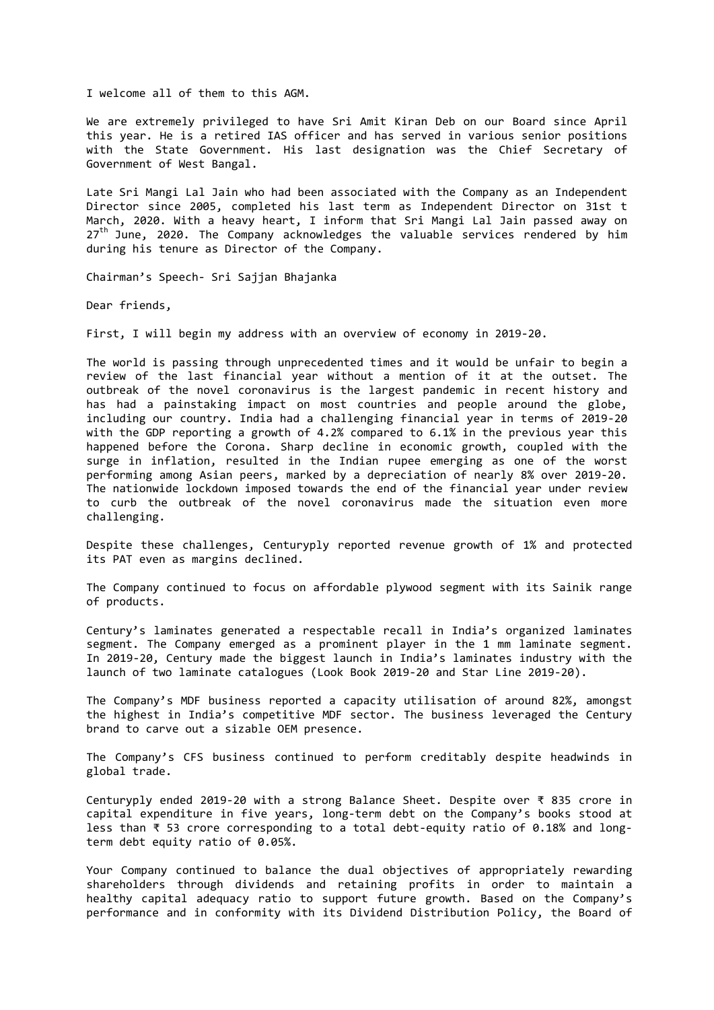I welcome all of them to this AGM.

We are extremely privileged to have Sri Amit Kiran Deb on our Board since April this year. He is a retired IAS officer and has served in various senior positions with the State Government. His last designation was the Chief Secretary of Government of West Bangal.

Late Sri Mangi Lal Jain who had been associated with the Company as an Independent Director since 2005, completed his last term as Independent Director on 31st t March, 2020. With a heavy heart, I inform that Sri Mangi Lal Jain passed away on 27<sup>th</sup> June, 2020. The Company acknowledges the valuable services rendered by him during his tenure as Director of the Company.

Chairman's Speech- Sri Sajjan Bhajanka

Dear friends,

First, I will begin my address with an overview of economy in 2019-20.

The world is passing through unprecedented times and it would be unfair to begin a review of the last financial year without a mention of it at the outset. The outbreak of the novel coronavirus is the largest pandemic in recent history and has had a painstaking impact on most countries and people around the globe, including our country. India had a challenging financial year in terms of 2019-20 with the GDP reporting a growth of 4.2% compared to 6.1% in the previous year this happened before the Corona. Sharp decline in economic growth, coupled with the surge in inflation, resulted in the Indian rupee emerging as one of the worst performing among Asian peers, marked by a depreciation of nearly 8% over 2019-20. The nationwide lockdown imposed towards the end of the financial year under review to curb the outbreak of the novel coronavirus made the situation even more challenging.

Despite these challenges, Centuryply reported revenue growth of 1% and protected its PAT even as margins declined.

The Company continued to focus on affordable plywood segment with its Sainik range of products.

Century's laminates generated a respectable recall in India's organized laminates segment. The Company emerged as a prominent player in the 1 mm laminate segment. In 2019-20, Century made the biggest launch in India's laminates industry with the launch of two laminate catalogues (Look Book 2019-20 and Star Line 2019-20).

The Company's MDF business reported a capacity utilisation of around 82%, amongst the highest in India's competitive MDF sector. The business leveraged the Century brand to carve out a sizable OEM presence.

The Company's CFS business continued to perform creditably despite headwinds in global trade.

Centuryply ended 2019-20 with a strong Balance Sheet. Despite over ₹ 835 crore in capital expenditure in five years, long-term debt on the Company's books stood at less than ₹ 53 crore corresponding to a total debt-equity ratio of 0.18% and longterm debt equity ratio of 0.05%.

Your Company continued to balance the dual objectives of appropriately rewarding shareholders through dividends and retaining profits in order to maintain a healthy capital adequacy ratio to support future growth. Based on the Company's performance and in conformity with its Dividend Distribution Policy, the Board of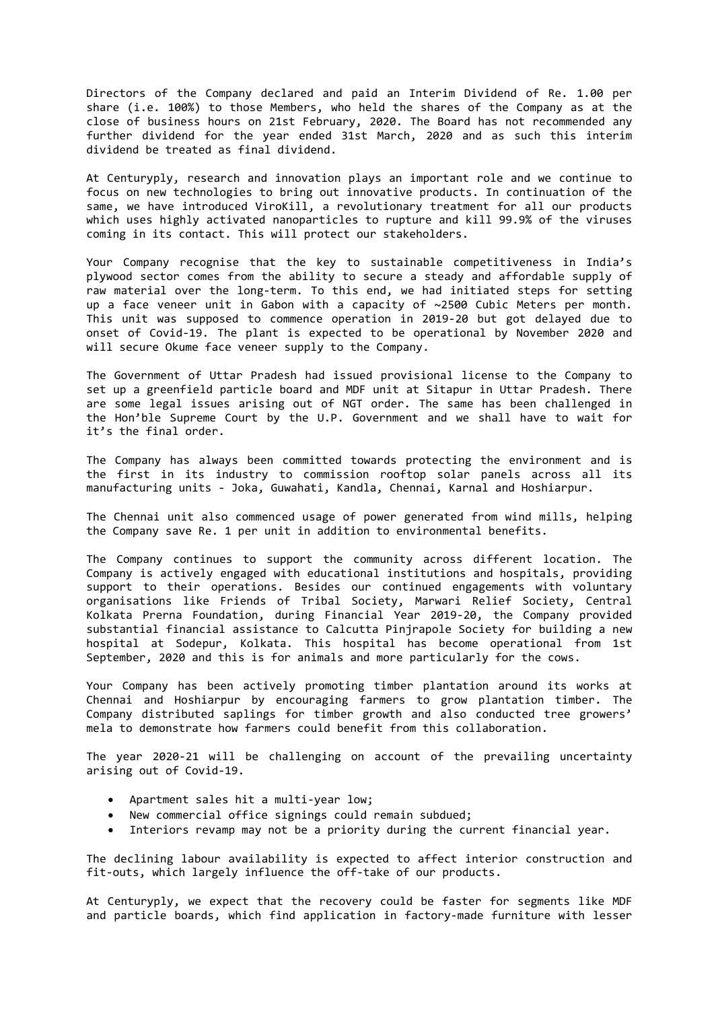Directors of the Company declared and paid an Interim Dividend of Re. 1.00 per share (i.e. 100%) to those Members, who held the shares of the Company as at the close of business hours on 21st February, 2020. The Board has not recommended any further dividend for the year ended 31st March, 2020 and as such this interim dividend be treated as final dividend.

At Centuryply, research and innovation plays an important role and we continue to focus on new technologies to bring out innovative products. In continuation of the same, we have introduced ViroKill, a revolutionary treatment for all our products which uses highly activated nanoparticles to rupture and kill 99.9% of the viruses coming in its contact. This will protect our stakeholders.

Your Company recognise that the key to sustainable competitiveness in India's plywood sector comes from the ability to secure a steady and affordable supply of raw material over the long-term. To this end, we had initiated steps for setting up a face veneer unit in Gabon with a capacity of ~2500 Cubic Meters per month. This unit was supposed to commence operation in 2019-20 but got delayed due to onset of Covid-19. The plant is expected to be operational by November 2020 and will secure Okume face veneer supply to the Company.

The Government of Uttar Pradesh had issued provisional license to the Company to set up a greenfield particle board and MDF unit at Sitapur in Uttar Pradesh. There are some legal issues arising out of NGT order. The same has been challenged in the Hon'ble Supreme Court by the U.P. Government and we shall have to wait for it's the final order.

The Company has always been committed towards protecting the environment and is the first in its industry to commission rooftop solar panels across all its manufacturing units - Joka, Guwahati, Kandla, Chennai, Karnal and Hoshiarpur.

The Chennai unit also commenced usage of power generated from wind mills, helping the Company save Re. 1 per unit in addition to environmental benefits.

The Company continues to support the community across different location. The Company is actively engaged with educational institutions and hospitals, providing support to their operations. Besides our continued engagements with voluntary organisations like Friends of Tribal Society, Marwari Relief Society, Central Kolkata Prerna Foundation, during Financial Year 2019-20, the Company provided substantial financial assistance to Calcutta Pinjrapole Society for building a new hospital at Sodepur, Kolkata. This hospital has become operational from 1st September, 2020 and this is for animals and more particularly for the cows.

Your Company has been actively promoting timber plantation around its works at Chennai and Hoshiarpur by encouraging farmers to grow plantation timber. The Company distributed saplings for timber growth and also conducted tree growers' mela to demonstrate how farmers could benefit from this collaboration.

The year 2020-21 will be challenging on account of the prevailing uncertainty arising out of Covid-19.

- Apartment sales hit a multi-year low;
- New commercial office signings could remain subdued;
- Interiors revamp may not be a priority during the current financial year.

The declining labour availability is expected to affect interior construction and fit-outs, which largely influence the off-take of our products.

At Centuryply, we expect that the recovery could be faster for segments like MDF and particle boards, which find application in factory-made furniture with lesser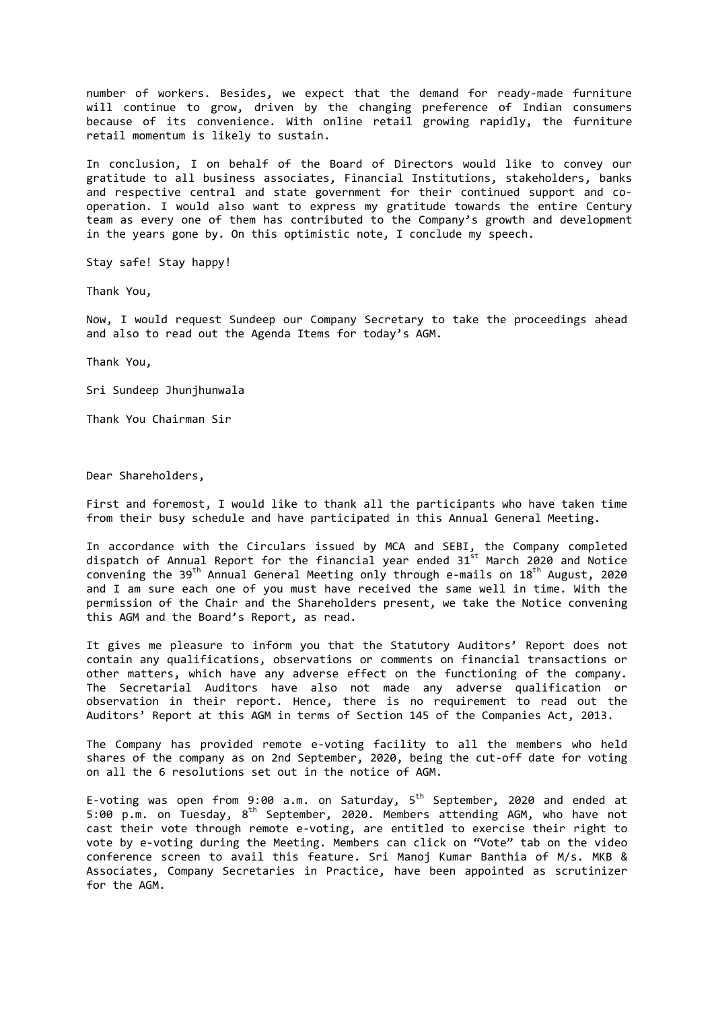number of workers. Besides, we expect that the demand for ready-made furniture will continue to grow, driven by the changing preference of Indian consumers because of its convenience. With online retail growing rapidly, the furniture retail momentum is likely to sustain.

In conclusion, I on behalf of the Board of Directors would like to convey our gratitude to all business associates, Financial Institutions, stakeholders, banks and respective central and state government for their continued support and cooperation. I would also want to express my gratitude towards the entire Century team as every one of them has contributed to the Company's growth and development in the years gone by. On this optimistic note, I conclude my speech.

Stay safe! Stay happy!

Thank You,

Now, I would request Sundeep our Company Secretary to take the proceedings ahead and also to read out the Agenda Items for today's AGM.

Thank You,

Sri Sundeep Jhunjhunwala

Thank You Chairman Sir

Dear Shareholders,

First and foremost, I would like to thank all the participants who have taken time from their busy schedule and have participated in this Annual General Meeting.

In accordance with the Circulars issued by MCA and SEBI, the Company completed dispatch of Annual Report for the financial year ended  $31^{st}$  March 2020 and Notice convening the 39<sup>th</sup> Annual General Meeting only through e-mails on  $18<sup>th</sup>$  August, 2020 and I am sure each one of you must have received the same well in time. With the permission of the Chair and the Shareholders present, we take the Notice convening this AGM and the Board's Report, as read.

It gives me pleasure to inform you that the Statutory Auditors' Report does not contain any qualifications, observations or comments on financial transactions or other matters, which have any adverse effect on the functioning of the company. The Secretarial Auditors have also not made any adverse qualification or observation in their report. Hence, there is no requirement to read out the Auditors' Report at this AGM in terms of Section 145 of the Companies Act, 2013.

The Company has provided remote e-voting facility to all the members who held shares of the company as on 2nd September, 2020, being the cut-off date for voting on all the 6 resolutions set out in the notice of AGM.

E-voting was open from 9:00 a.m. on Saturday,  $5<sup>th</sup>$  September, 2020 and ended at 5:00 p.m. on Tuesday, 8th September, 2020. Members attending AGM, who have not cast their vote through remote e‐voting, are entitled to exercise their right to vote by e-voting during the Meeting. Members can click on "Vote" tab on the video conference screen to avail this feature. Sri Manoj Kumar Banthia of M/s. MKB & Associates, Company Secretaries in Practice, have been appointed as scrutinizer for the AGM.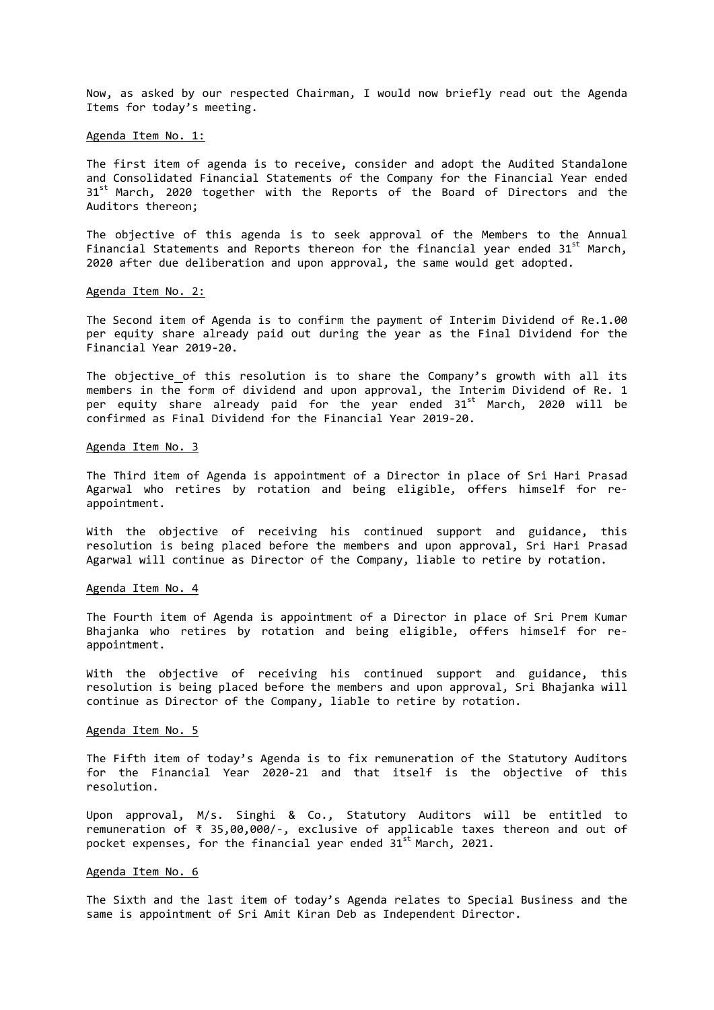Now, as asked by our respected Chairman, I would now briefly read out the Agenda Items for today's meeting.

## Agenda Item No. 1:

The first item of agenda is to receive, consider and adopt the Audited Standalone and Consolidated Financial Statements of the Company for the Financial Year ended  $31<sup>st</sup>$  March, 2020 together with the Reports of the Board of Directors and the Auditors thereon;

The objective of this agenda is to seek approval of the Members to the Annual Financial Statements and Reports thereon for the financial year ended  $31^{st}$  March, 2020 after due deliberation and upon approval, the same would get adopted.

#### Agenda Item No. 2:

The Second item of Agenda is to confirm the payment of Interim Dividend of Re.1.00 per equity share already paid out during the year as the Final Dividend for the Financial Year 2019-20.

The objective of this resolution is to share the Company's growth with all its members in the form of dividend and upon approval, the Interim Dividend of Re. 1 per equity share already paid for the year ended 31<sup>st</sup> March, 2020 will be confirmed as Final Dividend for the Financial Year 2019-20.

#### Agenda Item No. 3

The Third item of Agenda is appointment of a Director in place of Sri Hari Prasad Agarwal who retires by rotation and being eligible, offers himself for reappointment.

With the objective of receiving his continued support and guidance, this resolution is being placed before the members and upon approval, Sri Hari Prasad Agarwal will continue as Director of the Company, liable to retire by rotation.

## Agenda Item No. 4

The Fourth item of Agenda is appointment of a Director in place of Sri Prem Kumar Bhajanka who retires by rotation and being eligible, offers himself for reappointment.

With the objective of receiving his continued support and guidance, this resolution is being placed before the members and upon approval, Sri Bhajanka will continue as Director of the Company, liable to retire by rotation.

## Agenda Item No. 5

The Fifth item of today's Agenda is to fix remuneration of the Statutory Auditors for the Financial Year 2020-21 and that itself is the objective of this resolution.

Upon approval, M/s. Singhi & Co., Statutory Auditors will be entitled to remuneration of ₹ 35,00,000/-, exclusive of applicable taxes thereon and out of pocket expenses, for the financial year ended  $31^{st}$  March, 2021.

# Agenda Item No. 6

The Sixth and the last item of today's Agenda relates to Special Business and the same is appointment of Sri Amit Kiran Deb as Independent Director.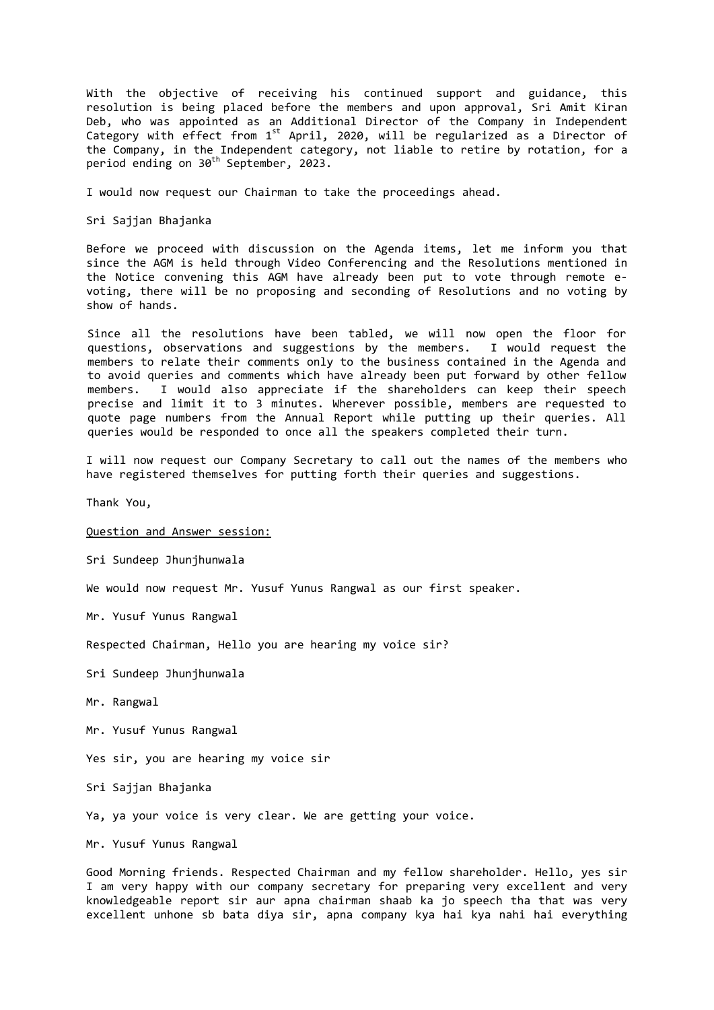With the objective of receiving his continued support and guidance, this resolution is being placed before the members and upon approval, Sri Amit Kiran Deb, who was appointed as an Additional Director of the Company in Independent Category with effect from  $1^{st}$  April, 2020, will be regularized as a Director of the Company, in the Independent category, not liable to retire by rotation, for a period ending on  $30<sup>th</sup>$  September, 2023.

I would now request our Chairman to take the proceedings ahead.

Sri Sajjan Bhajanka

Before we proceed with discussion on the Agenda items, let me inform you that since the AGM is held through Video Conferencing and the Resolutions mentioned in the Notice convening this AGM have already been put to vote through remote evoting, there will be no proposing and seconding of Resolutions and no voting by show of hands.

Since all the resolutions have been tabled, we will now open the floor for questions, observations and suggestions by the members. I would request the members to relate their comments only to the business contained in the Agenda and to avoid queries and comments which have already been put forward by other fellow members. I would also appreciate if the shareholders can keep their speech precise and limit it to 3 minutes. Wherever possible, members are requested to quote page numbers from the Annual Report while putting up their queries. All queries would be responded to once all the speakers completed their turn.

I will now request our Company Secretary to call out the names of the members who have registered themselves for putting forth their queries and suggestions.

Thank You,

Question and Answer session:

Sri Sundeep Jhunjhunwala

We would now request Mr. Yusuf Yunus Rangwal as our first speaker.

Mr. Yusuf Yunus Rangwal

Respected Chairman, Hello you are hearing my voice sir?

Sri Sundeep Jhunjhunwala

Mr. Rangwal

Mr. Yusuf Yunus Rangwal

Yes sir, you are hearing my voice sir

Sri Sajjan Bhajanka

Ya, ya your voice is very clear. We are getting your voice.

Mr. Yusuf Yunus Rangwal

Good Morning friends. Respected Chairman and my fellow shareholder. Hello, yes sir I am very happy with our company secretary for preparing very excellent and very knowledgeable report sir aur apna chairman shaab ka jo speech tha that was very excellent unhone sb bata diya sir, apna company kya hai kya nahi hai everything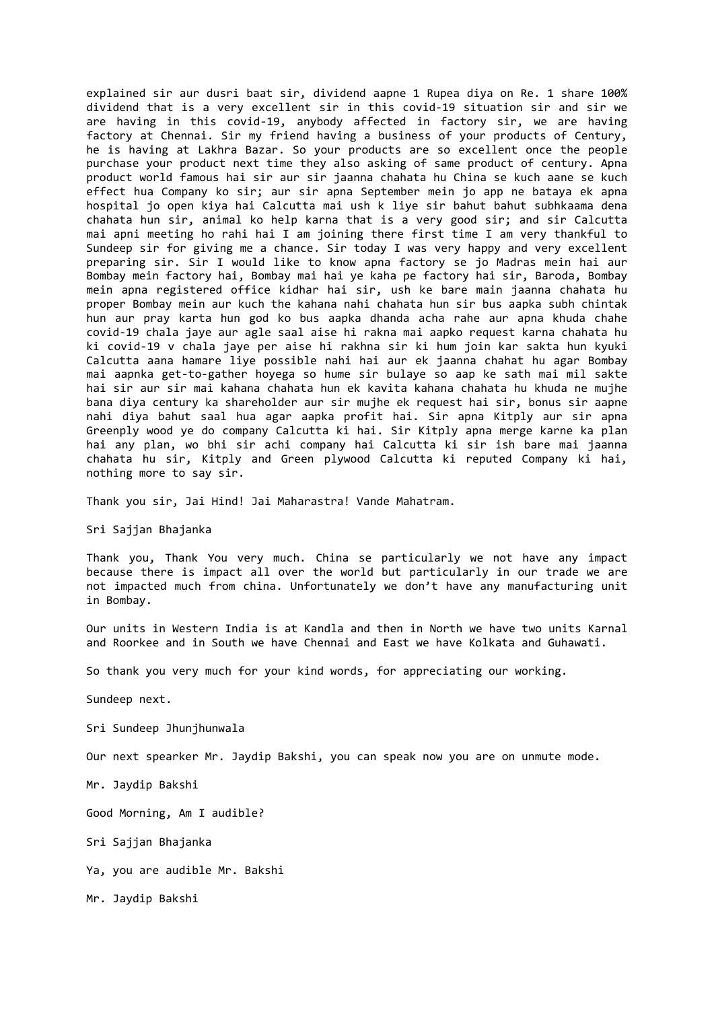explained sir aur dusri baat sir, dividend aapne 1 Rupea diya on Re. 1 share 100% dividend that is a very excellent sir in this covid-19 situation sir and sir we are having in this covid-19, anybody affected in factory sir, we are having factory at Chennai. Sir my friend having a business of your products of Century, he is having at Lakhra Bazar. So your products are so excellent once the people purchase your product next time they also asking of same product of century. Apna product world famous hai sir aur sir jaanna chahata hu China se kuch aane se kuch effect hua Company ko sir; aur sir apna September mein jo app ne bataya ek apna hospital jo open kiya hai Calcutta mai ush k liye sir bahut bahut subhkaama dena chahata hun sir, animal ko help karna that is a very good sir; and sir Calcutta mai apni meeting ho rahi hai I am joining there first time I am very thankful to Sundeep sir for giving me a chance. Sir today I was very happy and very excellent preparing sir. Sir I would like to know apna factory se jo Madras mein hai aur Bombay mein factory hai, Bombay mai hai ye kaha pe factory hai sir, Baroda, Bombay mein apna registered office kidhar hai sir, ush ke bare main jaanna chahata hu proper Bombay mein aur kuch the kahana nahi chahata hun sir bus aapka subh chintak hun aur pray karta hun god ko bus aapka dhanda acha rahe aur apna khuda chahe covid-19 chala jaye aur agle saal aise hi rakna mai aapko request karna chahata hu ki covid-19 v chala jaye per aise hi rakhna sir ki hum join kar sakta hun kyuki Calcutta aana hamare liye possible nahi hai aur ek jaanna chahat hu agar Bombay mai aapnka get-to-gather hoyega so hume sir bulaye so aap ke sath mai mil sakte hai sir aur sir mai kahana chahata hun ek kavita kahana chahata hu khuda ne mujhe bana diya century ka shareholder aur sir mujhe ek request hai sir, bonus sir aapne nahi diya bahut saal hua agar aapka profit hai. Sir apna Kitply aur sir apna Greenply wood ye do company Calcutta ki hai. Sir Kitply apna merge karne ka plan hai any plan, wo bhi sir achi company hai Calcutta ki sir ish bare mai jaanna chahata hu sir, Kitply and Green plywood Calcutta ki reputed Company ki hai, nothing more to say sir.

Thank you sir, Jai Hind! Jai Maharastra! Vande Mahatram.

Sri Sajjan Bhajanka

Thank you, Thank You very much. China se particularly we not have any impact because there is impact all over the world but particularly in our trade we are not impacted much from china. Unfortunately we don't have any manufacturing unit in Bombay.

Our units in Western India is at Kandla and then in North we have two units Karnal and Roorkee and in South we have Chennai and East we have Kolkata and Guhawati.

So thank you very much for your kind words, for appreciating our working.

Sundeep next.

Sri Sundeep Jhunjhunwala

Our next spearker Mr. Jaydip Bakshi, you can speak now you are on unmute mode.

Mr. Jaydip Bakshi

Good Morning, Am I audible?

Sri Sajjan Bhajanka

Ya, you are audible Mr. Bakshi

Mr. Jaydip Bakshi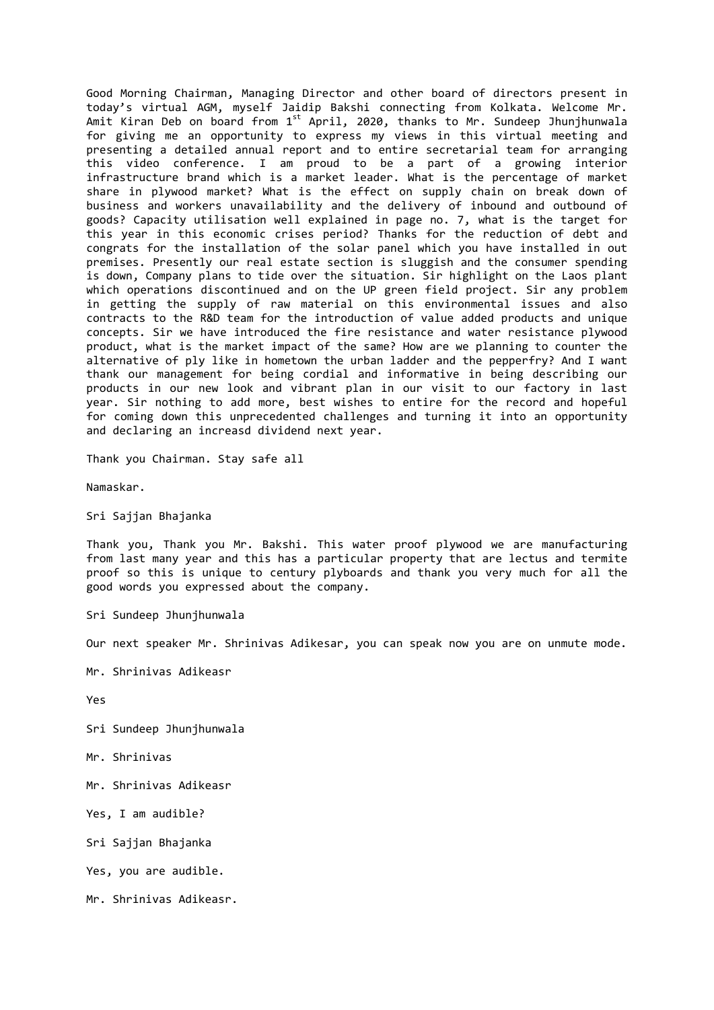Good Morning Chairman, Managing Director and other board of directors present in today's virtual AGM, myself Jaidip Bakshi connecting from Kolkata. Welcome Mr. Amit Kiran Deb on board from 1<sup>st</sup> April, 2020, thanks to Mr. Sundeep Jhunjhunwala for giving me an opportunity to express my views in this virtual meeting and presenting a detailed annual report and to entire secretarial team for arranging this video conference. I am proud to be a part of a growing interior infrastructure brand which is a market leader. What is the percentage of market share in plywood market? What is the effect on supply chain on break down of business and workers unavailability and the delivery of inbound and outbound of goods? Capacity utilisation well explained in page no. 7, what is the target for this year in this economic crises period? Thanks for the reduction of debt and congrats for the installation of the solar panel which you have installed in out premises. Presently our real estate section is sluggish and the consumer spending is down, Company plans to tide over the situation. Sir highlight on the Laos plant which operations discontinued and on the UP green field project. Sir any problem in getting the supply of raw material on this environmental issues and also contracts to the R&D team for the introduction of value added products and unique concepts. Sir we have introduced the fire resistance and water resistance plywood product, what is the market impact of the same? How are we planning to counter the alternative of ply like in hometown the urban ladder and the pepperfry? And I want thank our management for being cordial and informative in being describing our products in our new look and vibrant plan in our visit to our factory in last year. Sir nothing to add more, best wishes to entire for the record and hopeful for coming down this unprecedented challenges and turning it into an opportunity and declaring an increasd dividend next year.

Thank you Chairman. Stay safe all

Namaskar.

Sri Sajjan Bhajanka

Thank you, Thank you Mr. Bakshi. This water proof plywood we are manufacturing from last many year and this has a particular property that are lectus and termite proof so this is unique to century plyboards and thank you very much for all the good words you expressed about the company.

Sri Sundeep Jhunjhunwala

Our next speaker Mr. Shrinivas Adikesar, you can speak now you are on unmute mode.

Mr. Shrinivas Adikeasr

Yes

- Sri Sundeep Jhunjhunwala
- Mr. Shrinivas
- Mr. Shrinivas Adikeasr

Yes, I am audible?

Sri Sajjan Bhajanka

Yes, you are audible.

Mr. Shrinivas Adikeasr.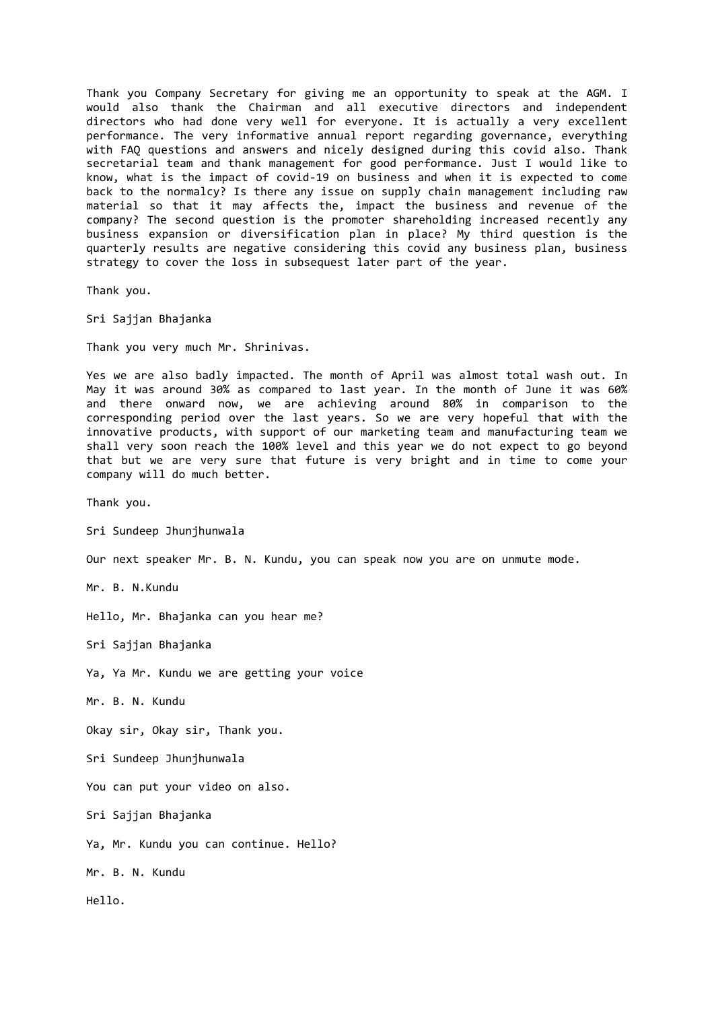Thank you Company Secretary for giving me an opportunity to speak at the AGM. I would also thank the Chairman and all executive directors and independent directors who had done very well for everyone. It is actually a very excellent performance. The very informative annual report regarding governance, everything with FAQ questions and answers and nicely designed during this covid also. Thank secretarial team and thank management for good performance. Just I would like to know, what is the impact of covid-19 on business and when it is expected to come back to the normalcy? Is there any issue on supply chain management including raw material so that it may affects the, impact the business and revenue of the company? The second question is the promoter shareholding increased recently any business expansion or diversification plan in place? My third question is the quarterly results are negative considering this covid any business plan, business strategy to cover the loss in subsequest later part of the year.

Thank you.

Sri Sajjan Bhajanka

Thank you very much Mr. Shrinivas.

Yes we are also badly impacted. The month of April was almost total wash out. In May it was around 30% as compared to last year. In the month of June it was 60% and there onward now, we are achieving around 80% in comparison to the corresponding period over the last years. So we are very hopeful that with the innovative products, with support of our marketing team and manufacturing team we shall very soon reach the 100% level and this year we do not expect to go beyond that but we are very sure that future is very bright and in time to come your company will do much better.

Thank you.

Sri Sundeep Jhunjhunwala

Our next speaker Mr. B. N. Kundu, you can speak now you are on unmute mode.

Mr. B. N.Kundu

Hello, Mr. Bhajanka can you hear me?

Sri Sajjan Bhajanka

Ya, Ya Mr. Kundu we are getting your voice

Mr. B. N. Kundu

Okay sir, Okay sir, Thank you.

Sri Sundeep Jhunjhunwala

You can put your video on also.

Sri Sajjan Bhajanka

Ya, Mr. Kundu you can continue. Hello?

Mr. B. N. Kundu

Hello.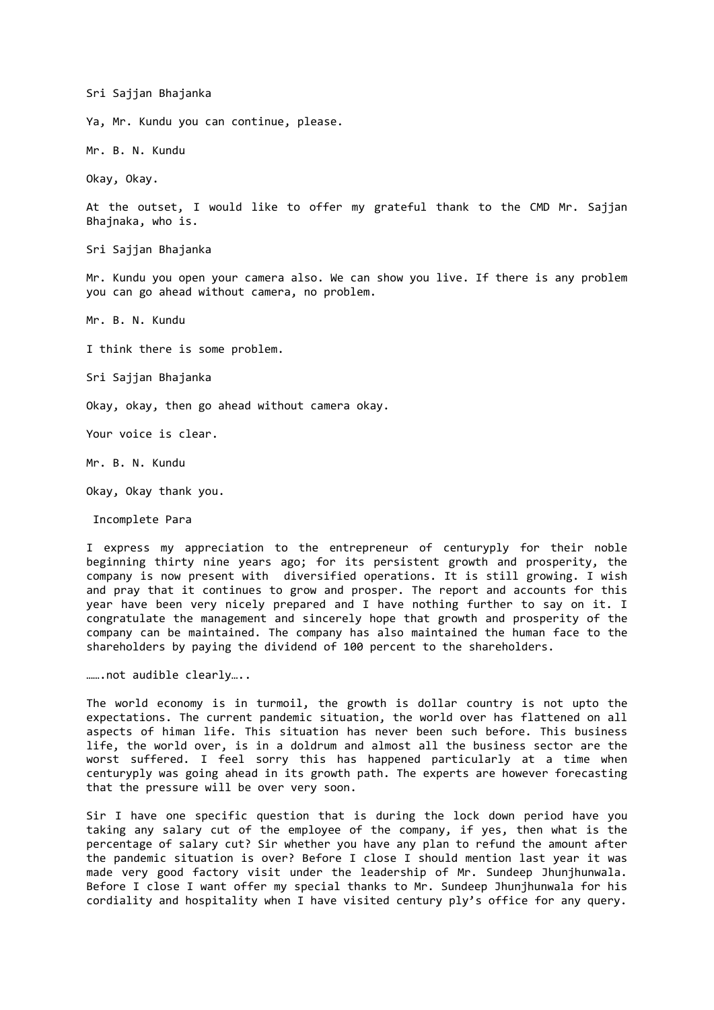Sri Sajjan Bhajanka

Ya, Mr. Kundu you can continue, please.

Mr. B. N. Kundu

Okay, Okay.

At the outset, I would like to offer my grateful thank to the CMD Mr. Sajjan Bhainaka, who is.

Sri Sajjan Bhajanka

Mr. Kundu you open your camera also. We can show you live. If there is any problem you can go ahead without camera, no problem.

Mr. B. N. Kundu

I think there is some problem.

Sri Sajjan Bhajanka

Okay, okay, then go ahead without camera okay.

Your voice is clear.

Mr. B. N. Kundu

Okay, Okay thank you.

Incomplete Para

I express my appreciation to the entrepreneur of centuryply for their noble beginning thirty nine years ago; for its persistent growth and prosperity, the company is now present with diversified operations. It is still growing. I wish and pray that it continues to grow and prosper. The report and accounts for this year have been very nicely prepared and I have nothing further to say on it. I congratulate the management and sincerely hope that growth and prosperity of the company can be maintained. The company has also maintained the human face to the shareholders by paying the dividend of 100 percent to the shareholders.

…….not audible clearly…..

The world economy is in turmoil, the growth is dollar country is not upto the expectations. The current pandemic situation, the world over has flattened on all aspects of himan life. This situation has never been such before. This business life, the world over, is in a doldrum and almost all the business sector are the worst suffered. I feel sorry this has happened particularly at a time when centuryply was going ahead in its growth path. The experts are however forecasting that the pressure will be over very soon.

Sir I have one specific question that is during the lock down period have you taking any salary cut of the employee of the company, if yes, then what is the percentage of salary cut? Sir whether you have any plan to refund the amount after the pandemic situation is over? Before I close I should mention last year it was made very good factory visit under the leadership of Mr. Sundeep Jhunjhunwala. Before I close I want offer my special thanks to Mr. Sundeep Jhunjhunwala for his cordiality and hospitality when I have visited century ply's office for any query.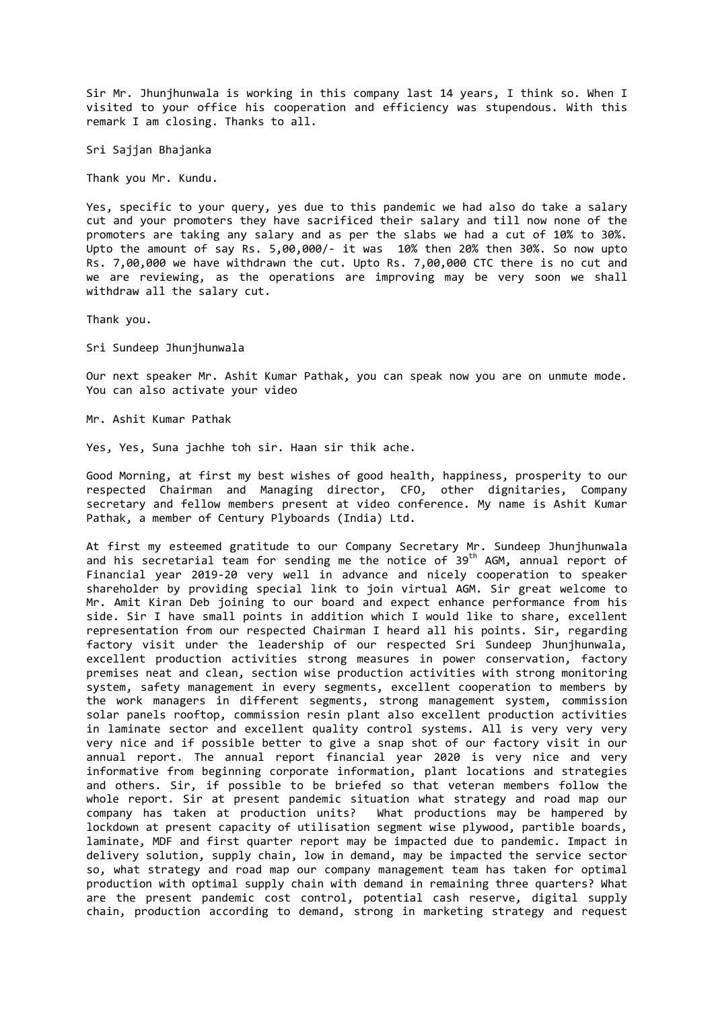Sir Mr. Jhunjhunwala is working in this company last 14 years, I think so. When I visited to your office his cooperation and efficiency was stupendous. With this remark I am closing. Thanks to all.

Sri Sajjan Bhajanka

Thank you Mr. Kundu.

Yes, specific to your query, yes due to this pandemic we had also do take a salary cut and your promoters they have sacrificed their salary and till now none of the promoters are taking any salary and as per the slabs we had a cut of 10% to 30%. Upto the amount of say Rs. 5,00,000/- it was 10% then 20% then 30%. So now upto Rs. 7,00,000 we have withdrawn the cut. Upto Rs. 7,00,000 CTC there is no cut and we are reviewing, as the operations are improving may be very soon we shall withdraw all the salary cut.

Thank you.

Sri Sundeep Jhunjhunwala

Our next speaker Mr. Ashit Kumar Pathak, you can speak now you are on unmute mode. You can also activate your video

Mr. Ashit Kumar Pathak

Yes, Yes, Suna jachhe toh sir. Haan sir thik ache.

Good Morning, at first my best wishes of good health, happiness, prosperity to our respected Chairman and Managing director, CFO, other dignitaries, Company secretary and fellow members present at video conference. My name is Ashit Kumar Pathak, a member of Century Plyboards (India) Ltd.

At first my esteemed gratitude to our Company Secretary Mr. Sundeep Jhunjhunwala and his secretarial team for sending me the notice of 39<sup>th</sup> AGM, annual report of Financial year 2019-20 very well in advance and nicely cooperation to speaker shareholder by providing special link to join virtual AGM. Sir great welcome to Mr. Amit Kiran Deb joining to our board and expect enhance performance from his side. Sir I have small points in addition which I would like to share, excellent representation from our respected Chairman I heard all his points. Sir, regarding factory visit under the leadership of our respected Sri Sundeep Jhunjhunwala, excellent production activities strong measures in power conservation, factory premises neat and clean, section wise production activities with strong monitoring system, safety management in every segments, excellent cooperation to members by the work managers in different segments, strong management system, commission solar panels rooftop, commission resin plant also excellent production activities in laminate sector and excellent quality control systems. All is very very very very nice and if possible better to give a snap shot of our factory visit in our annual report. The annual report financial year 2020 is very nice and very informative from beginning corporate information, plant locations and strategies and others. Sir, if possible to be briefed so that veteran members follow the whole report. Sir at present pandemic situation what strategy and road map our company has taken at production units? What productions may be hampered by lockdown at present capacity of utilisation segment wise plywood, partible boards, laminate, MDF and first quarter report may be impacted due to pandemic. Impact in delivery solution, supply chain, low in demand, may be impacted the service sector so, what strategy and road map our company management team has taken for optimal production with optimal supply chain with demand in remaining three quarters? What are the present pandemic cost control, potential cash reserve, digital supply chain, production according to demand, strong in marketing strategy and request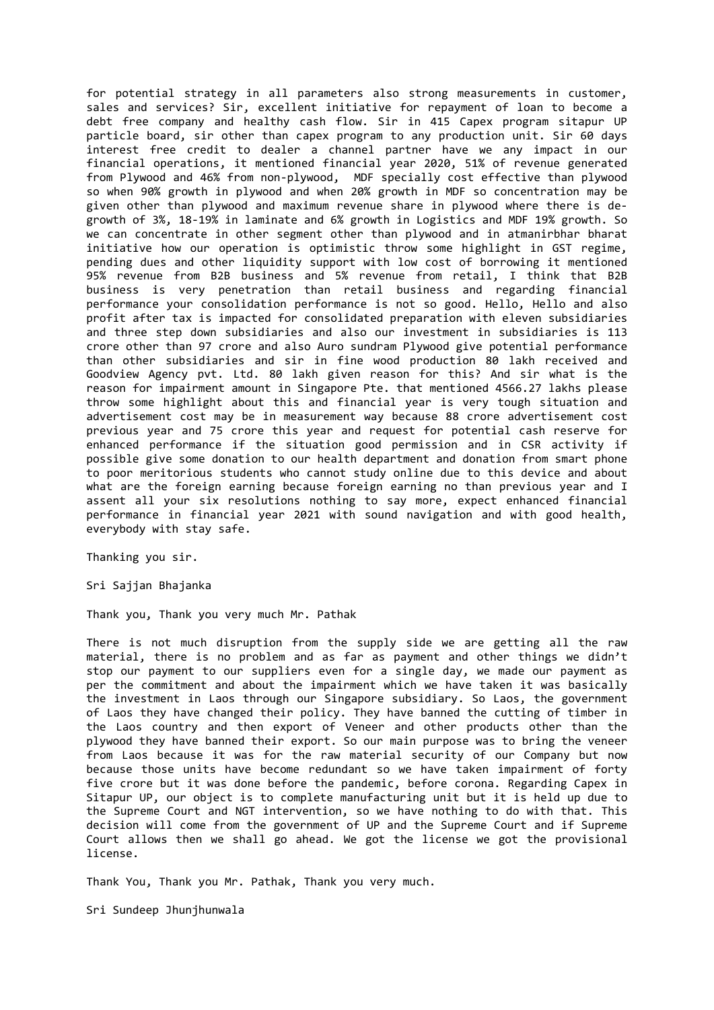for potential strategy in all parameters also strong measurements in customer, sales and services? Sir, excellent initiative for repayment of loan to become a debt free company and healthy cash flow. Sir in 415 Capex program sitapur UP particle board, sir other than capex program to any production unit. Sir 60 days interest free credit to dealer a channel partner have we any impact in our financial operations, it mentioned financial year 2020, 51% of revenue generated from Plywood and 46% from non-plywood, MDF specially cost effective than plywood so when 90% growth in plywood and when 20% growth in MDF so concentration may be given other than plywood and maximum revenue share in plywood where there is degrowth of 3%, 18-19% in laminate and 6% growth in Logistics and MDF 19% growth. So we can concentrate in other segment other than plywood and in atmanirbhar bharat initiative how our operation is optimistic throw some highlight in GST regime, pending dues and other liquidity support with low cost of borrowing it mentioned 95% revenue from B2B business and 5% revenue from retail, I think that B2B business is very penetration than retail business and regarding financial performance your consolidation performance is not so good. Hello, Hello and also profit after tax is impacted for consolidated preparation with eleven subsidiaries and three step down subsidiaries and also our investment in subsidiaries is 113 crore other than 97 crore and also Auro sundram Plywood give potential performance than other subsidiaries and sir in fine wood production 80 lakh received and Goodview Agency pvt. Ltd. 80 lakh given reason for this? And sir what is the reason for impairment amount in Singapore Pte. that mentioned 4566.27 lakhs please throw some highlight about this and financial year is very tough situation and advertisement cost may be in measurement way because 88 crore advertisement cost previous year and 75 crore this year and request for potential cash reserve for enhanced performance if the situation good permission and in CSR activity if possible give some donation to our health department and donation from smart phone to poor meritorious students who cannot study online due to this device and about what are the foreign earning because foreign earning no than previous year and I assent all your six resolutions nothing to say more, expect enhanced financial performance in financial year 2021 with sound navigation and with good health, everybody with stay safe.

Thanking you sir.

Sri Sajjan Bhajanka

Thank you, Thank you very much Mr. Pathak

There is not much disruption from the supply side we are getting all the raw material, there is no problem and as far as payment and other things we didn't stop our payment to our suppliers even for a single day, we made our payment as per the commitment and about the impairment which we have taken it was basically the investment in Laos through our Singapore subsidiary. So Laos, the government of Laos they have changed their policy. They have banned the cutting of timber in the Laos country and then export of Veneer and other products other than the plywood they have banned their export. So our main purpose was to bring the veneer from Laos because it was for the raw material security of our Company but now because those units have become redundant so we have taken impairment of forty five crore but it was done before the pandemic, before corona. Regarding Capex in Sitapur UP, our object is to complete manufacturing unit but it is held up due to the Supreme Court and NGT intervention, so we have nothing to do with that. This decision will come from the government of UP and the Supreme Court and if Supreme Court allows then we shall go ahead. We got the license we got the provisional license.

Thank You, Thank you Mr. Pathak, Thank you very much.

Sri Sundeep Jhunjhunwala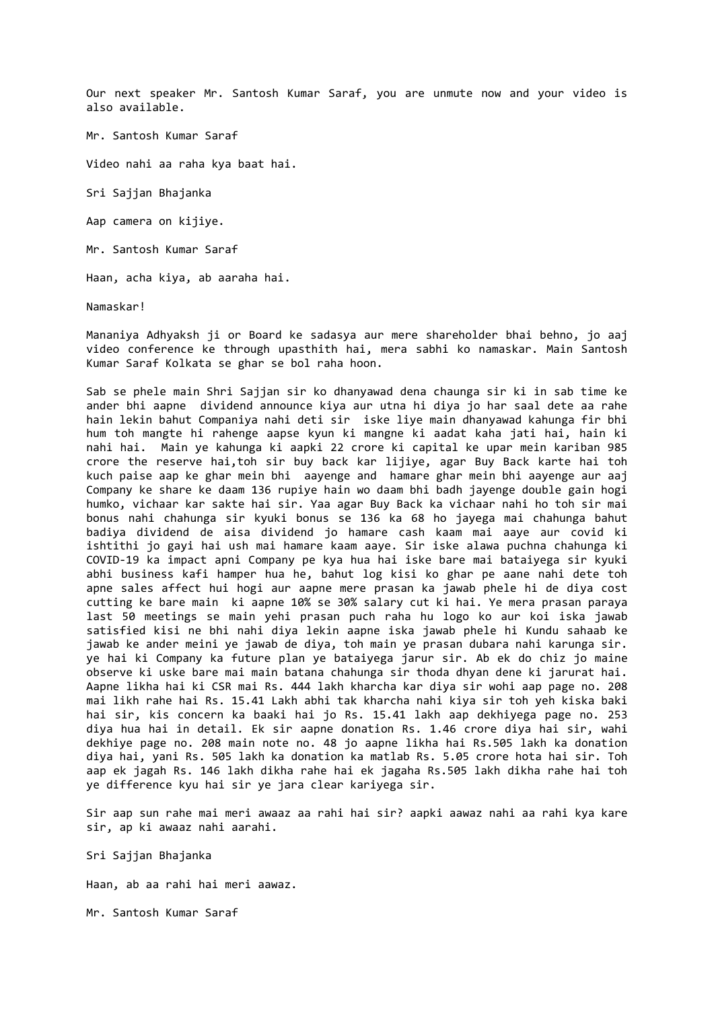Our next speaker Mr. Santosh Kumar Saraf, you are unmute now and your video is also available.

Mr. Santosh Kumar Saraf

Video nahi aa raha kya baat hai.

Sri Sajjan Bhajanka

Aap camera on kijiye.

Mr. Santosh Kumar Saraf

Haan, acha kiya, ab aaraha hai.

Namaskar!

Mananiya Adhyaksh ji or Board ke sadasya aur mere shareholder bhai behno, jo aaj video conference ke through upasthith hai, mera sabhi ko namaskar. Main Santosh Kumar Saraf Kolkata se ghar se bol raha hoon.

Sab se phele main Shri Sajjan sir ko dhanyawad dena chaunga sir ki in sab time ke ander bhi aapne dividend announce kiya aur utna hi diya jo har saal dete aa rahe hain lekin bahut Companiya nahi deti sir iske liye main dhanyawad kahunga fir bhi hum toh mangte hi rahenge aapse kyun ki mangne ki aadat kaha jati hai, hain ki nahi hai. Main ye kahunga ki aapki 22 crore ki capital ke upar mein kariban 985 crore the reserve hai,toh sir buy back kar lijiye, agar Buy Back karte hai toh kuch paise aap ke ghar mein bhi aayenge and hamare ghar mein bhi aayenge aur aaj Company ke share ke daam 136 rupiye hain wo daam bhi badh jayenge double gain hogi humko, vichaar kar sakte hai sir. Yaa agar Buy Back ka vichaar nahi ho toh sir mai bonus nahi chahunga sir kyuki bonus se 136 ka 68 ho jayega mai chahunga bahut badiya dividend de aisa dividend jo hamare cash kaam mai aaye aur covid ki ishtithi jo gayi hai ush mai hamare kaam aaye. Sir iske alawa puchna chahunga ki COVID-19 ka impact apni Company pe kya hua hai iske bare mai bataiyega sir kyuki abhi business kafi hamper hua he, bahut log kisi ko ghar pe aane nahi dete toh apne sales affect hui hogi aur aapne mere prasan ka jawab phele hi de diya cost cutting ke bare main ki aapne 10% se 30% salary cut ki hai. Ye mera prasan paraya last 50 meetings se main yehi prasan puch raha hu logo ko aur koi iska jawab satisfied kisi ne bhi nahi diya lekin aapne iska jawab phele hi Kundu sahaab ke jawab ke ander meini ye jawab de diya, toh main ye prasan dubara nahi karunga sir. ye hai ki Company ka future plan ye bataiyega jarur sir. Ab ek do chiz jo maine observe ki uske bare mai main batana chahunga sir thoda dhyan dene ki jarurat hai. Aapne likha hai ki CSR mai Rs. 444 lakh kharcha kar diya sir wohi aap page no. 208 mai likh rahe hai Rs. 15.41 Lakh abhi tak kharcha nahi kiya sir toh yeh kiska baki hai sir, kis concern ka baaki hai jo Rs. 15.41 lakh aap dekhiyega page no. 253 diya hua hai in detail. Ek sir aapne donation Rs. 1.46 crore diya hai sir, wahi dekhiye page no. 208 main note no. 48 jo aapne likha hai Rs.505 lakh ka donation diya hai, yani Rs. 505 lakh ka donation ka matlab Rs. 5.05 crore hota hai sir. Toh aap ek jagah Rs. 146 lakh dikha rahe hai ek jagaha Rs.505 lakh dikha rahe hai toh ye difference kyu hai sir ye jara clear kariyega sir.

Sir aap sun rahe mai meri awaaz aa rahi hai sir? aapki aawaz nahi aa rahi kya kare sir, ap ki awaaz nahi aarahi.

Sri Sajjan Bhajanka

Haan, ab aa rahi hai meri aawaz.

Mr. Santosh Kumar Saraf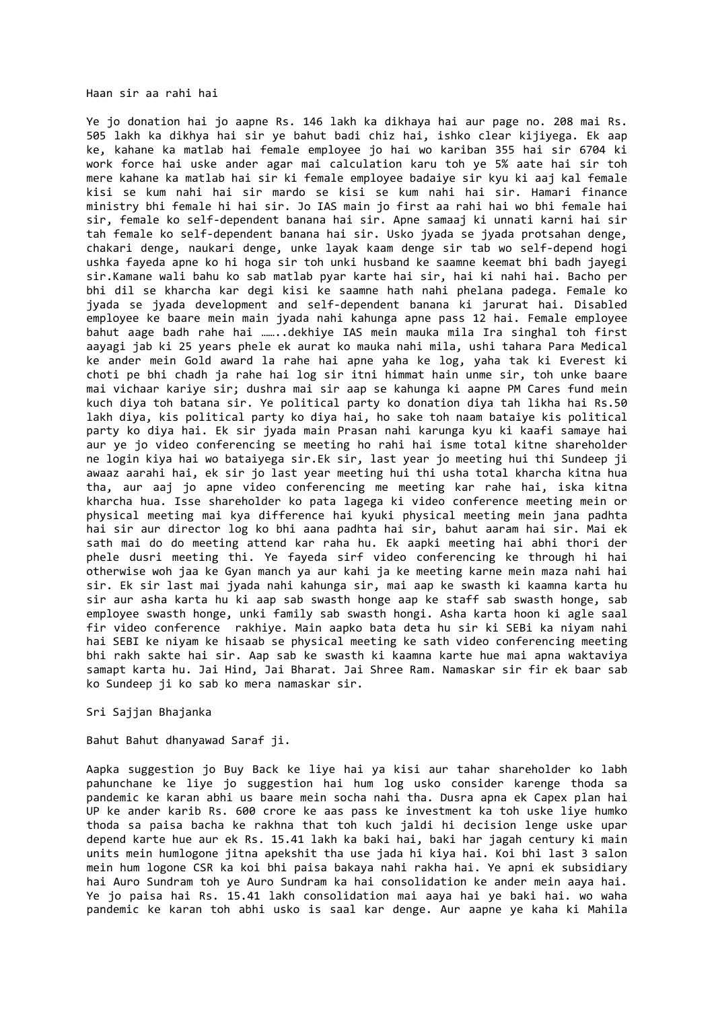Haan sir aa rahi hai

Ye jo donation hai jo aapne Rs. 146 lakh ka dikhaya hai aur page no. 208 mai Rs. 505 lakh ka dikhya hai sir ye bahut badi chiz hai, ishko clear kijiyega. Ek aap ke, kahane ka matlab hai female employee jo hai wo kariban 355 hai sir 6704 ki work force hai uske ander agar mai calculation karu toh ye 5% aate hai sir toh mere kahane ka matlab hai sir ki female employee badaiye sir kyu ki aaj kal female kisi se kum nahi hai sir mardo se kisi se kum nahi hai sir. Hamari finance ministry bhi female hi hai sir. Jo IAS main jo first aa rahi hai wo bhi female hai sir, female ko self-dependent banana hai sir. Apne samaaj ki unnati karni hai sir tah female ko self-dependent banana hai sir. Usko jyada se jyada protsahan denge, chakari denge, naukari denge, unke layak kaam denge sir tab wo self-depend hogi ushka fayeda apne ko hi hoga sir toh unki husband ke saamne keemat bhi badh jayegi sir.Kamane wali bahu ko sab matlab pyar karte hai sir, hai ki nahi hai. Bacho per bhi dil se kharcha kar degi kisi ke saamne hath nahi phelana padega. Female ko jyada se jyada development and self-dependent banana ki jarurat hai. Disabled employee ke baare mein main jyada nahi kahunga apne pass 12 hai. Female employee bahut aage badh rahe hai ……..dekhiye IAS mein mauka mila Ira singhal toh first aayagi jab ki 25 years phele ek aurat ko mauka nahi mila, ushi tahara Para Medical ke ander mein Gold award la rahe hai apne yaha ke log, yaha tak ki Everest ki choti pe bhi chadh ja rahe hai log sir itni himmat hain unme sir, toh unke baare mai vichaar kariye sir; dushra mai sir aap se kahunga ki aapne PM Cares fund mein kuch diya toh batana sir. Ye political party ko donation diya tah likha hai Rs.50 lakh diya, kis political party ko diya hai, ho sake toh naam bataiye kis political party ko diya hai. Ek sir jyada main Prasan nahi karunga kyu ki kaafi samaye hai aur ye jo video conferencing se meeting ho rahi hai isme total kitne shareholder ne login kiya hai wo bataiyega sir.Ek sir, last year jo meeting hui thi Sundeep ji awaaz aarahi hai, ek sir jo last year meeting hui thi usha total kharcha kitna hua tha, aur aaj jo apne video conferencing me meeting kar rahe hai, iska kitna kharcha hua. Isse shareholder ko pata lagega ki video conference meeting mein or physical meeting mai kya difference hai kyuki physical meeting mein jana padhta hai sir aur director log ko bhi aana padhta hai sir, bahut aaram hai sir. Mai ek sath mai do do meeting attend kar raha hu. Ek aapki meeting hai abhi thori der phele dusri meeting thi. Ye fayeda sirf video conferencing ke through hi hai otherwise woh jaa ke Gyan manch ya aur kahi ja ke meeting karne mein maza nahi hai sir. Ek sir last mai jyada nahi kahunga sir, mai aap ke swasth ki kaamna karta hu sir aur asha karta hu ki aap sab swasth honge aap ke staff sab swasth honge, sab employee swasth honge, unki family sab swasth hongi. Asha karta hoon ki agle saal fir video conference rakhiye. Main aapko bata deta hu sir ki SEBi ka niyam nahi hai SEBI ke niyam ke hisaab se physical meeting ke sath video conferencing meeting bhi rakh sakte hai sir. Aap sab ke swasth ki kaamna karte hue mai apna waktaviya samapt karta hu. Jai Hind, Jai Bharat. Jai Shree Ram. Namaskar sir fir ek baar sab ko Sundeep ji ko sab ko mera namaskar sir.

Sri Sajjan Bhajanka

Bahut Bahut dhanyawad Saraf ji.

Aapka suggestion jo Buy Back ke liye hai ya kisi aur tahar shareholder ko labh pahunchane ke liye jo suggestion hai hum log usko consider karenge thoda sa pandemic ke karan abhi us baare mein socha nahi tha. Dusra apna ek Capex plan hai UP ke ander karib Rs. 600 crore ke aas pass ke investment ka toh uske liye humko thoda sa paisa bacha ke rakhna that toh kuch jaldi hi decision lenge uske upar depend karte hue aur ek Rs. 15.41 lakh ka baki hai, baki har jagah century ki main units mein humlogone jitna apekshit tha use jada hi kiya hai. Koi bhi last 3 salon mein hum logone CSR ka koi bhi paisa bakaya nahi rakha hai. Ye apni ek subsidiary hai Auro Sundram toh ye Auro Sundram ka hai consolidation ke ander mein aaya hai. Ye jo paisa hai Rs. 15.41 lakh consolidation mai aaya hai ye baki hai. wo waha pandemic ke karan toh abhi usko is saal kar denge. Aur aapne ye kaha ki Mahila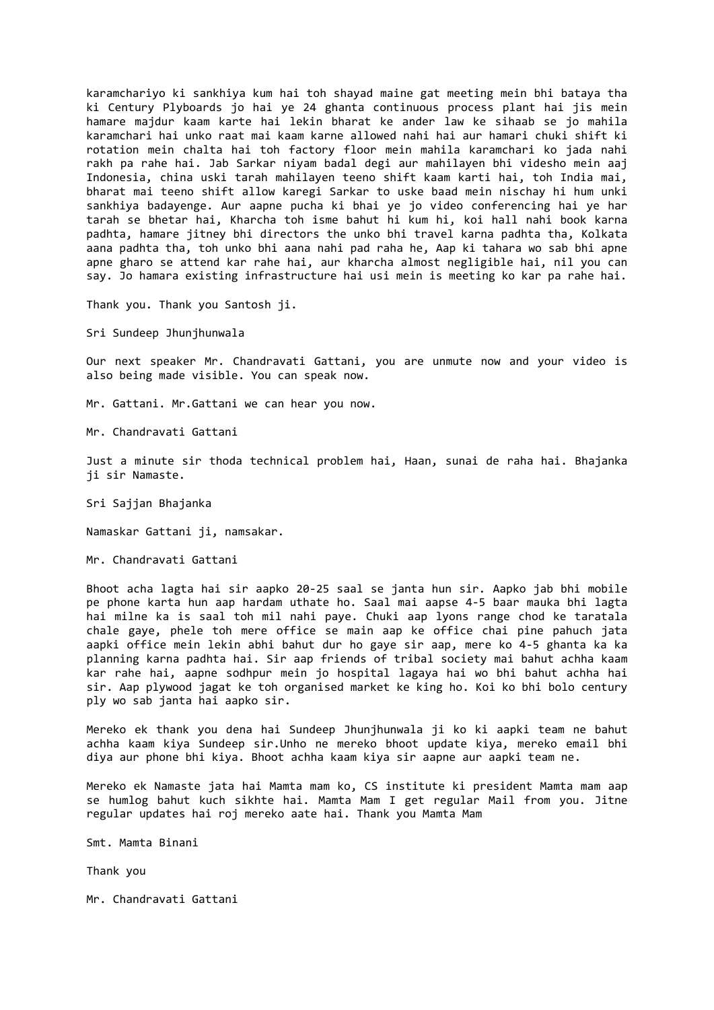karamchariyo ki sankhiya kum hai toh shayad maine gat meeting mein bhi bataya tha ki Century Plyboards jo hai ye 24 ghanta continuous process plant hai jis mein hamare majdur kaam karte hai lekin bharat ke ander law ke sihaab se jo mahila karamchari hai unko raat mai kaam karne allowed nahi hai aur hamari chuki shift ki rotation mein chalta hai toh factory floor mein mahila karamchari ko jada nahi rakh pa rahe hai. Jab Sarkar niyam badal degi aur mahilayen bhi videsho mein aaj Indonesia, china uski tarah mahilayen teeno shift kaam karti hai, toh India mai, bharat mai teeno shift allow karegi Sarkar to uske baad mein nischay hi hum unki sankhiya badayenge. Aur aapne pucha ki bhai ye jo video conferencing hai ye har tarah se bhetar hai, Kharcha toh isme bahut hi kum hi, koi hall nahi book karna padhta, hamare jitney bhi directors the unko bhi travel karna padhta tha, Kolkata aana padhta tha, toh unko bhi aana nahi pad raha he, Aap ki tahara wo sab bhi apne apne gharo se attend kar rahe hai, aur kharcha almost negligible hai, nil you can say. Jo hamara existing infrastructure hai usi mein is meeting ko kar pa rahe hai.

Thank you. Thank you Santosh ji.

Sri Sundeep Jhunjhunwala

Our next speaker Mr. Chandravati Gattani, you are unmute now and your video is also being made visible. You can speak now.

Mr. Gattani. Mr.Gattani we can hear you now.

Mr. Chandravati Gattani

Just a minute sir thoda technical problem hai, Haan, sunai de raha hai. Bhajanka ji sir Namaste.

Sri Sajjan Bhajanka

Namaskar Gattani ji, namsakar.

Mr. Chandravati Gattani

Bhoot acha lagta hai sir aapko 20-25 saal se janta hun sir. Aapko jab bhi mobile pe phone karta hun aap hardam uthate ho. Saal mai aapse 4-5 baar mauka bhi lagta hai milne ka is saal toh mil nahi paye. Chuki aap lyons range chod ke taratala chale gaye, phele toh mere office se main aap ke office chai pine pahuch jata aapki office mein lekin abhi bahut dur ho gaye sir aap, mere ko 4-5 ghanta ka ka planning karna padhta hai. Sir aap friends of tribal society mai bahut achha kaam kar rahe hai, aapne sodhpur mein jo hospital lagaya hai wo bhi bahut achha hai sir. Aap plywood jagat ke toh organised market ke king ho. Koi ko bhi bolo century ply wo sab janta hai aapko sir.

Mereko ek thank you dena hai Sundeep Jhunjhunwala ji ko ki aapki team ne bahut achha kaam kiya Sundeep sir.Unho ne mereko bhoot update kiya, mereko email bhi diya aur phone bhi kiya. Bhoot achha kaam kiya sir aapne aur aapki team ne.

Mereko ek Namaste jata hai Mamta mam ko, CS institute ki president Mamta mam aap se humlog bahut kuch sikhte hai. Mamta Mam I get regular Mail from you. Jitne regular updates hai roj mereko aate hai. Thank you Mamta Mam

Smt. Mamta Binani

Thank you

Mr. Chandravati Gattani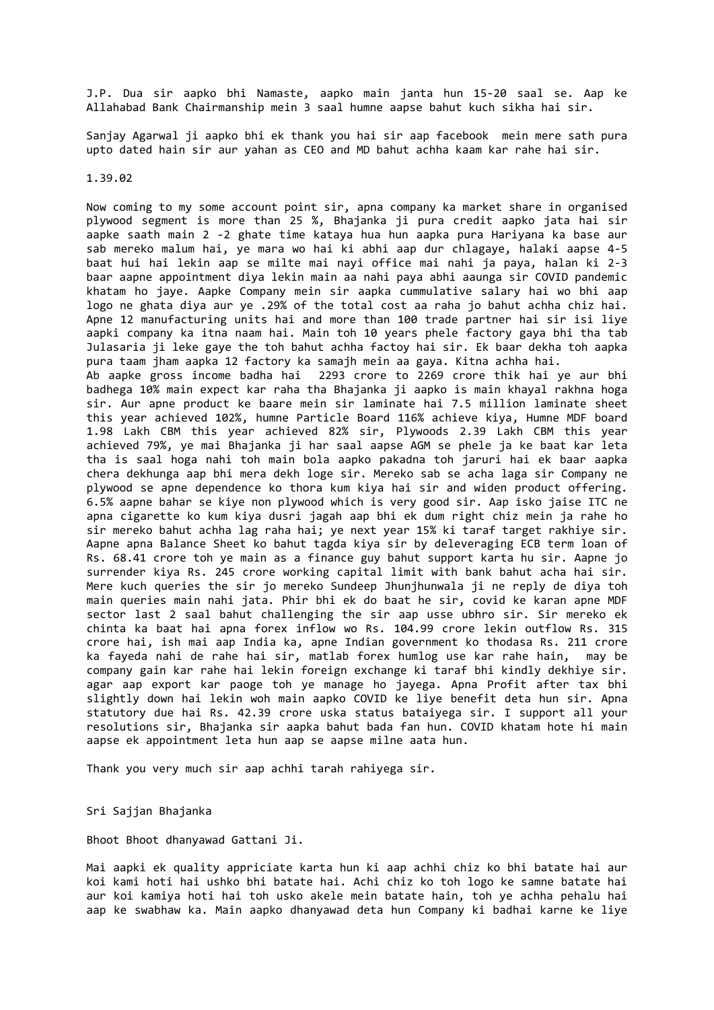J.P. Dua sir aapko bhi Namaste, aapko main janta hun 15-20 saal se. Aap ke Allahabad Bank Chairmanship mein 3 saal humne aapse bahut kuch sikha hai sir.

Sanjay Agarwal ji aapko bhi ek thank you hai sir aap facebook mein mere sath pura upto dated hain sir aur yahan as CEO and MD bahut achha kaam kar rahe hai sir.

1.39.02

Now coming to my some account point sir, apna company ka market share in organised plywood segment is more than 25 %, Bhajanka ji pura credit aapko jata hai sir aapke saath main 2 -2 ghate time kataya hua hun aapka pura Hariyana ka base aur sab mereko malum hai, ye mara wo hai ki abhi aap dur chlagaye, halaki aapse 4-5 baat hui hai lekin aap se milte mai nayi office mai nahi ja paya, halan ki 2-3 baar aapne appointment diya lekin main aa nahi paya abhi aaunga sir COVID pandemic khatam ho jaye. Aapke Company mein sir aapka cummulative salary hai wo bhi aap logo ne ghata diya aur ye .29% of the total cost aa raha jo bahut achha chiz hai. Apne 12 manufacturing units hai and more than 100 trade partner hai sir isi liye aapki company ka itna naam hai. Main toh 10 years phele factory gaya bhi tha tab Julasaria ji leke gaye the toh bahut achha factoy hai sir. Ek baar dekha toh aapka pura taam jham aapka 12 factory ka samajh mein aa gaya. Kitna achha hai. Ab aapke gross income badha hai 2293 crore to 2269 crore thik hai ye aur bhi badhega 10% main expect kar raha tha Bhajanka ji aapko is main khayal rakhna hoga sir. Aur apne product ke baare mein sir laminate hai 7.5 million laminate sheet this year achieved 102%, humne Particle Board 116% achieve kiya, Humne MDF board 1.98 Lakh CBM this year achieved 82% sir, Plywoods 2.39 Lakh CBM this year achieved 79%, ye mai Bhajanka ji har saal aapse AGM se phele ja ke baat kar leta tha is saal hoga nahi toh main bola aapko pakadna toh jaruri hai ek baar aapka chera dekhunga aap bhi mera dekh loge sir. Mereko sab se acha laga sir Company ne plywood se apne dependence ko thora kum kiya hai sir and widen product offering. 6.5% aapne bahar se kiye non plywood which is very good sir. Aap isko jaise ITC ne apna cigarette ko kum kiya dusri jagah aap bhi ek dum right chiz mein ja rahe ho sir mereko bahut achha lag raha hai; ye next year 15% ki taraf target rakhiye sir. Aapne apna Balance Sheet ko bahut tagda kiya sir by deleveraging ECB term loan of Rs. 68.41 crore toh ye main as a finance guy bahut support karta hu sir. Aapne jo surrender kiya Rs. 245 crore working capital limit with bank bahut acha hai sir. Mere kuch queries the sir jo mereko Sundeep Jhunjhunwala ji ne reply de diya toh main queries main nahi jata. Phir bhi ek do baat he sir, covid ke karan apne MDF sector last 2 saal bahut challenging the sir aap usse ubhro sir. Sir mereko ek chinta ka baat hai apna forex inflow wo Rs. 104.99 crore lekin outflow Rs. 315 crore hai, ish mai aap India ka, apne Indian government ko thodasa Rs. 211 crore ka fayeda nahi de rahe hai sir, matlab forex humlog use kar rahe hain, may be company gain kar rahe hai lekin foreign exchange ki taraf bhi kindly dekhiye sir. agar aap export kar paoge toh ye manage ho jayega. Apna Profit after tax bhi slightly down hai lekin woh main aapko COVID ke liye benefit deta hun sir. Apna statutory due hai Rs. 42.39 crore uska status bataiyega sir. I support all your resolutions sir, Bhajanka sir aapka bahut bada fan hun. COVID khatam hote hi main aapse ek appointment leta hun aap se aapse milne aata hun.

Thank you very much sir aap achhi tarah rahiyega sir.

Sri Sajjan Bhajanka

Bhoot Bhoot dhanyawad Gattani Ji.

Mai aapki ek quality appriciate karta hun ki aap achhi chiz ko bhi batate hai aur koi kami hoti hai ushko bhi batate hai. Achi chiz ko toh logo ke samne batate hai aur koi kamiya hoti hai toh usko akele mein batate hain, toh ye achha pehalu hai aap ke swabhaw ka. Main aapko dhanyawad deta hun Company ki badhai karne ke liye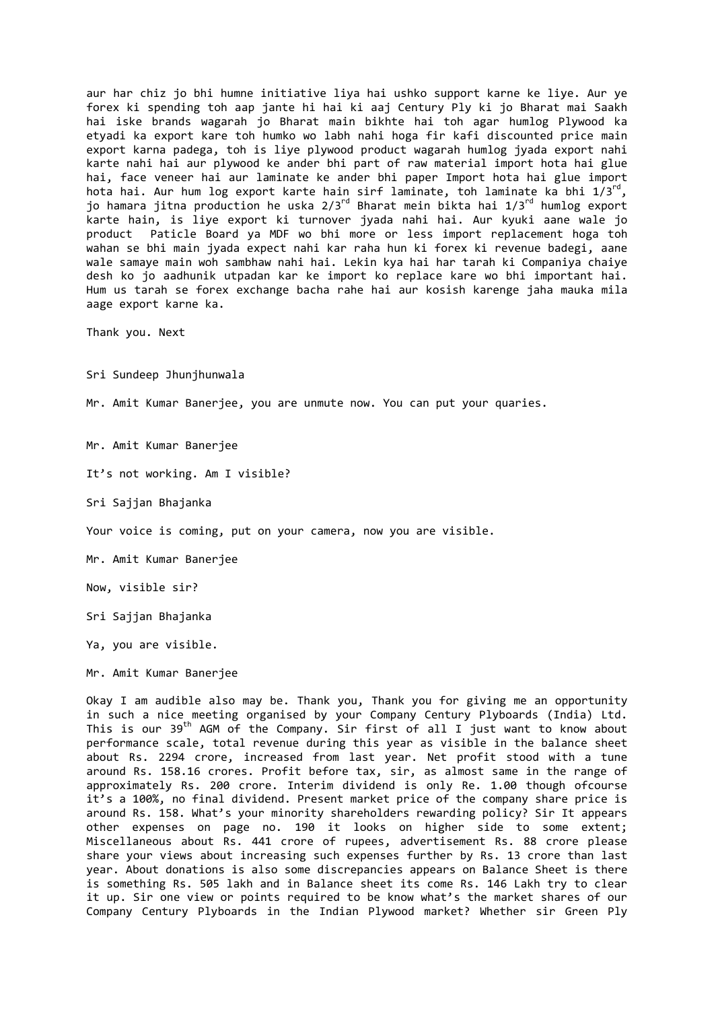aur har chiz jo bhi humne initiative liya hai ushko support karne ke liye. Aur ye forex ki spending toh aap jante hi hai ki aaj Century Ply ki jo Bharat mai Saakh hai iske brands wagarah jo Bharat main bikhte hai toh agar humlog Plywood ka etyadi ka export kare toh humko wo labh nahi hoga fir kafi discounted price main export karna padega, toh is liye plywood product wagarah humlog jyada export nahi karte nahi hai aur plywood ke ander bhi part of raw material import hota hai glue hai, face veneer hai aur laminate ke ander bhi paper Import hota hai glue import hota hai. Aur hum log export karte hain sirf laminate, toh laminate ka bhi 1/3<sup>rd</sup>, jo hamara jitna production he uska  $2/3^{rd}$  Bharat mein bikta hai  $1/3^{rd}$  humlog export karte hain, is liye export ki turnover jyada nahi hai. Aur kyuki aane wale jo product Paticle Board ya MDF wo bhi more or less import replacement hoga toh wahan se bhi main jyada expect nahi kar raha hun ki forex ki revenue badegi, aane wale samaye main woh sambhaw nahi hai. Lekin kya hai har tarah ki Companiya chaiye desh ko jo aadhunik utpadan kar ke import ko replace kare wo bhi important hai. Hum us tarah se forex exchange bacha rahe hai aur kosish karenge jaha mauka mila aage export karne ka.

Thank you. Next

Sri Sundeep Jhunjhunwala

Mr. Amit Kumar Banerjee, you are unmute now. You can put your quaries.

Mr. Amit Kumar Banerjee

It's not working. Am I visible?

Sri Sajjan Bhajanka

Your voice is coming, put on your camera, now you are visible.

Mr. Amit Kumar Banerjee

Now, visible sir?

Sri Sajjan Bhajanka

Ya, you are visible.

Mr. Amit Kumar Banerjee

Okay I am audible also may be. Thank you, Thank you for giving me an opportunity in such a nice meeting organised by your Company Century Plyboards (India) Ltd. This is our 39<sup>th</sup> AGM of the Company. Sir first of all I just want to know about performance scale, total revenue during this year as visible in the balance sheet about Rs. 2294 crore, increased from last year. Net profit stood with a tune around Rs. 158.16 crores. Profit before tax, sir, as almost same in the range of approximately Rs. 200 crore. Interim dividend is only Re. 1.00 though ofcourse it's a 100%, no final dividend. Present market price of the company share price is around Rs. 158. What's your minority shareholders rewarding policy? Sir It appears other expenses on page no. 190 it looks on higher side to some extent; Miscellaneous about Rs. 441 crore of rupees, advertisement Rs. 88 crore please share your views about increasing such expenses further by Rs. 13 crore than last year. About donations is also some discrepancies appears on Balance Sheet is there is something Rs. 505 lakh and in Balance sheet its come Rs. 146 Lakh try to clear it up. Sir one view or points required to be know what's the market shares of our Company Century Plyboards in the Indian Plywood market? Whether sir Green Ply